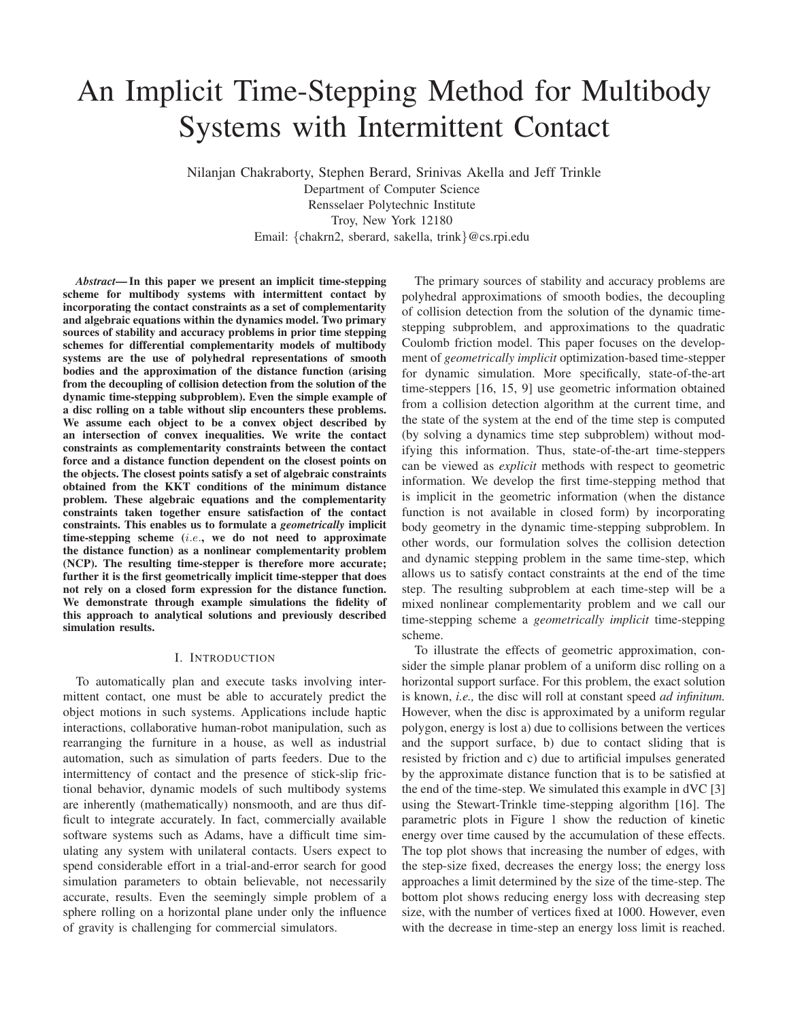# An Implicit Time-Stepping Method for Multibody Systems with Intermittent Contact

Nilanjan Chakraborty, Stephen Berard, Srinivas Akella and Jeff Trinkle Department of Computer Science Rensselaer Polytechnic Institute Troy, New York 12180 Email: {chakrn2, sberard, sakella, trink}@cs.rpi.edu

*Abstract*— In this paper we present an implicit time-stepping scheme for multibody systems with intermittent contact by incorporating the contact constraints as a set of complementarity and algebraic equations within the dynamics model. Two primary sources of stability and accuracy problems in prior time stepping schemes for differential complementarity models of multibody systems are the use of polyhedral representations of smooth bodies and the approximation of the distance function (arising from the decoupling of collision detection from the solution of the dynamic time-stepping subproblem). Even the simple example of a disc rolling on a table without slip encounters these problems. We assume each object to be a convex object described by an intersection of convex inequalities. We write the contact constraints as complementarity constraints between the contact force and a distance function dependent on the closest points on the objects. The closest points satisfy a set of algebraic constraints obtained from the KKT conditions of the minimum distance problem. These algebraic equations and the complementarity constraints taken together ensure satisfaction of the contact constraints. This enables us to formulate a *geometrically* implicit time-stepping scheme (i.e., we do not need to approximate the distance function) as a nonlinear complementarity problem (NCP). The resulting time-stepper is therefore more accurate; further it is the first geometrically implicit time-stepper that does not rely on a closed form expression for the distance function. We demonstrate through example simulations the fidelity of this approach to analytical solutions and previously described simulation results.

#### I. INTRODUCTION

To automatically plan and execute tasks involving intermittent contact, one must be able to accurately predict the object motions in such systems. Applications include haptic interactions, collaborative human-robot manipulation, such as rearranging the furniture in a house, as well as industrial automation, such as simulation of parts feeders. Due to the intermittency of contact and the presence of stick-slip frictional behavior, dynamic models of such multibody systems are inherently (mathematically) nonsmooth, and are thus difficult to integrate accurately. In fact, commercially available software systems such as Adams, have a difficult time simulating any system with unilateral contacts. Users expect to spend considerable effort in a trial-and-error search for good simulation parameters to obtain believable, not necessarily accurate, results. Even the seemingly simple problem of a sphere rolling on a horizontal plane under only the influence of gravity is challenging for commercial simulators.

The primary sources of stability and accuracy problems are polyhedral approximations of smooth bodies, the decoupling of collision detection from the solution of the dynamic timestepping subproblem, and approximations to the quadratic Coulomb friction model. This paper focuses on the development of *geometrically implicit* optimization-based time-stepper for dynamic simulation. More specifically, state-of-the-art time-steppers [16, 15, 9] use geometric information obtained from a collision detection algorithm at the current time, and the state of the system at the end of the time step is computed (by solving a dynamics time step subproblem) without modifying this information. Thus, state-of-the-art time-steppers can be viewed as *explicit* methods with respect to geometric information. We develop the first time-stepping method that is implicit in the geometric information (when the distance function is not available in closed form) by incorporating body geometry in the dynamic time-stepping subproblem. In other words, our formulation solves the collision detection and dynamic stepping problem in the same time-step, which allows us to satisfy contact constraints at the end of the time step. The resulting subproblem at each time-step will be a mixed nonlinear complementarity problem and we call our time-stepping scheme a *geometrically implicit* time-stepping scheme.

To illustrate the effects of geometric approximation, consider the simple planar problem of a uniform disc rolling on a horizontal support surface. For this problem, the exact solution is known, *i.e.,* the disc will roll at constant speed *ad infinitum.* However, when the disc is approximated by a uniform regular polygon, energy is lost a) due to collisions between the vertices and the support surface, b) due to contact sliding that is resisted by friction and c) due to artificial impulses generated by the approximate distance function that is to be satisfied at the end of the time-step. We simulated this example in dVC [3] using the Stewart-Trinkle time-stepping algorithm [16]. The parametric plots in Figure 1 show the reduction of kinetic energy over time caused by the accumulation of these effects. The top plot shows that increasing the number of edges, with the step-size fixed, decreases the energy loss; the energy loss approaches a limit determined by the size of the time-step. The bottom plot shows reducing energy loss with decreasing step size, with the number of vertices fixed at 1000. However, even with the decrease in time-step an energy loss limit is reached.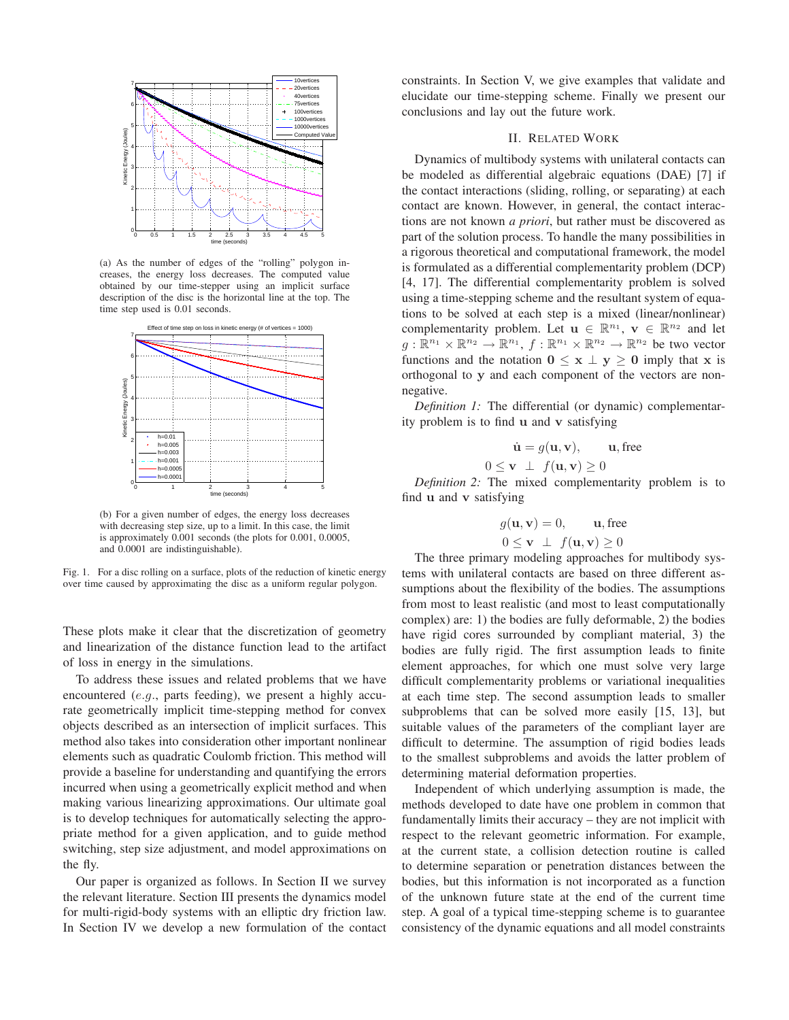

(a) As the number of edges of the "rolling" polygon increases, the energy loss decreases. The computed value obtained by our time-stepper using an implicit surface description of the disc is the horizontal line at the top. The time step used is 0.01 seconds.



(b) For a given number of edges, the energy loss decreases with decreasing step size, up to a limit. In this case, the limit is approximately 0.001 seconds (the plots for 0.001, 0.0005, and 0.0001 are indistinguishable).

Fig. 1. For a disc rolling on a surface, plots of the reduction of kinetic energy over time caused by approximating the disc as a uniform regular polygon.

These plots make it clear that the discretization of geometry and linearization of the distance function lead to the artifact of loss in energy in the simulations.

To address these issues and related problems that we have encountered (e.g., parts feeding), we present a highly accurate geometrically implicit time-stepping method for convex objects described as an intersection of implicit surfaces. This method also takes into consideration other important nonlinear elements such as quadratic Coulomb friction. This method will provide a baseline for understanding and quantifying the errors incurred when using a geometrically explicit method and when making various linearizing approximations. Our ultimate goal is to develop techniques for automatically selecting the appropriate method for a given application, and to guide method switching, step size adjustment, and model approximations on the fly.

Our paper is organized as follows. In Section II we survey the relevant literature. Section III presents the dynamics model for multi-rigid-body systems with an elliptic dry friction law. In Section IV we develop a new formulation of the contact

constraints. In Section V, we give examples that validate and elucidate our time-stepping scheme. Finally we present our conclusions and lay out the future work.

## II. RELATED WORK

Dynamics of multibody systems with unilateral contacts can be modeled as differential algebraic equations (DAE) [7] if the contact interactions (sliding, rolling, or separating) at each contact are known. However, in general, the contact interactions are not known *a priori*, but rather must be discovered as part of the solution process. To handle the many possibilities in a rigorous theoretical and computational framework, the model is formulated as a differential complementarity problem (DCP) [4, 17]. The differential complementarity problem is solved using a time-stepping scheme and the resultant system of equations to be solved at each step is a mixed (linear/nonlinear) complementarity problem. Let  $\mathbf{u} \in \mathbb{R}^{n_1}$ ,  $\mathbf{v} \in \mathbb{R}^{n_2}$  and let  $g: \mathbb{R}^{n_1} \times \mathbb{R}^{n_2} \to \mathbb{R}^{n_1}, f: \mathbb{R}^{n_1} \times \mathbb{R}^{n_2} \to \mathbb{R}^{n_2}$  be two vector functions and the notation  $0 \le x \perp y \ge 0$  imply that x is orthogonal to y and each component of the vectors are nonnegative.

*Definition 1:* The differential (or dynamic) complementarity problem is to find u and v satisfying

$$
\dot{\mathbf{u}} = g(\mathbf{u}, \mathbf{v}), \qquad \mathbf{u}, \text{free}
$$

$$
0 \le \mathbf{v} \perp f(\mathbf{u}, \mathbf{v}) \ge 0
$$

*Definition 2:* The mixed complementarity problem is to find u and v satisfying

$$
g(\mathbf{u}, \mathbf{v}) = 0, \qquad \mathbf{u}, \text{free}
$$

$$
0 \le \mathbf{v} \perp f(\mathbf{u}, \mathbf{v}) \ge 0
$$

The three primary modeling approaches for multibody systems with unilateral contacts are based on three different assumptions about the flexibility of the bodies. The assumptions from most to least realistic (and most to least computationally complex) are: 1) the bodies are fully deformable, 2) the bodies have rigid cores surrounded by compliant material, 3) the bodies are fully rigid. The first assumption leads to finite element approaches, for which one must solve very large difficult complementarity problems or variational inequalities at each time step. The second assumption leads to smaller subproblems that can be solved more easily [15, 13], but suitable values of the parameters of the compliant layer are difficult to determine. The assumption of rigid bodies leads to the smallest subproblems and avoids the latter problem of determining material deformation properties.

Independent of which underlying assumption is made, the methods developed to date have one problem in common that fundamentally limits their accuracy – they are not implicit with respect to the relevant geometric information. For example, at the current state, a collision detection routine is called to determine separation or penetration distances between the bodies, but this information is not incorporated as a function of the unknown future state at the end of the current time step. A goal of a typical time-stepping scheme is to guarantee consistency of the dynamic equations and all model constraints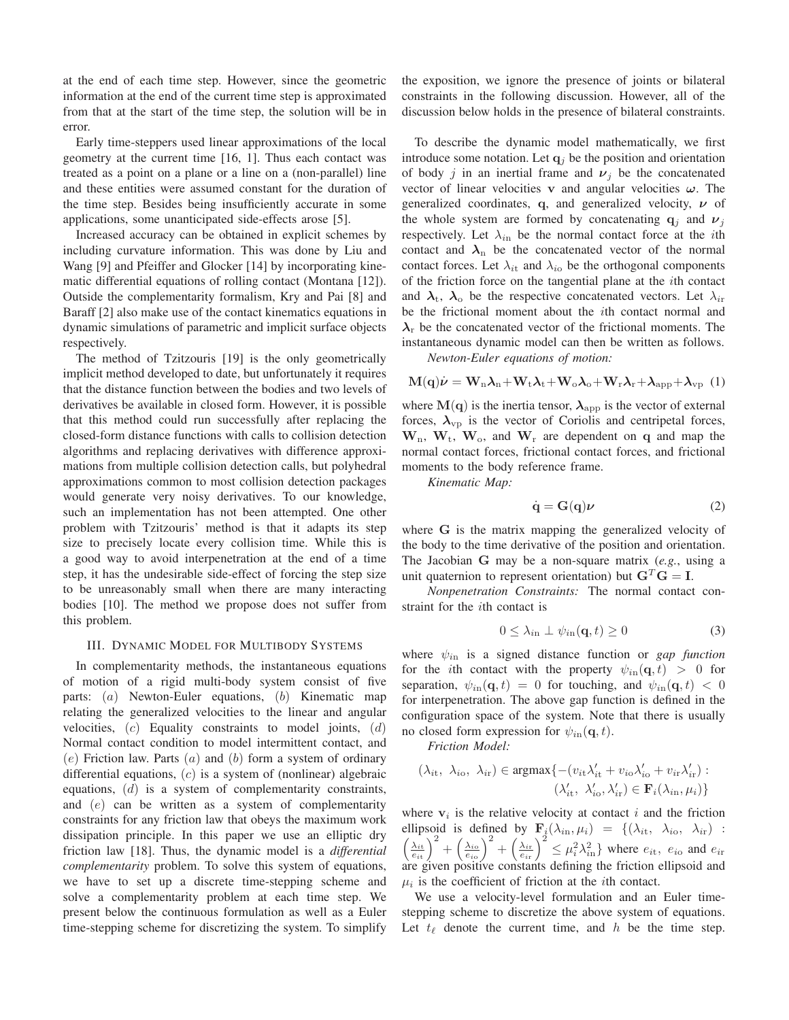at the end of each time step. However, since the geometric information at the end of the current time step is approximated from that at the start of the time step, the solution will be in error.

Early time-steppers used linear approximations of the local geometry at the current time [16, 1]. Thus each contact was treated as a point on a plane or a line on a (non-parallel) line and these entities were assumed constant for the duration of the time step. Besides being insufficiently accurate in some applications, some unanticipated side-effects arose [5].

Increased accuracy can be obtained in explicit schemes by including curvature information. This was done by Liu and Wang [9] and Pfeiffer and Glocker [14] by incorporating kinematic differential equations of rolling contact (Montana [12]). Outside the complementarity formalism, Kry and Pai [8] and Baraff [2] also make use of the contact kinematics equations in dynamic simulations of parametric and implicit surface objects respectively.

The method of Tzitzouris [19] is the only geometrically implicit method developed to date, but unfortunately it requires that the distance function between the bodies and two levels of derivatives be available in closed form. However, it is possible that this method could run successfully after replacing the closed-form distance functions with calls to collision detection algorithms and replacing derivatives with difference approximations from multiple collision detection calls, but polyhedral approximations common to most collision detection packages would generate very noisy derivatives. To our knowledge, such an implementation has not been attempted. One other problem with Tzitzouris' method is that it adapts its step size to precisely locate every collision time. While this is a good way to avoid interpenetration at the end of a time step, it has the undesirable side-effect of forcing the step size to be unreasonably small when there are many interacting bodies [10]. The method we propose does not suffer from this problem.

#### III. DYNAMIC MODEL FOR MULTIBODY SYSTEMS

In complementarity methods, the instantaneous equations of motion of a rigid multi-body system consist of five parts:  $(a)$  Newton-Euler equations,  $(b)$  Kinematic map relating the generalized velocities to the linear and angular velocities,  $(c)$  Equality constraints to model joints,  $(d)$ Normal contact condition to model intermittent contact, and  $(e)$  Friction law. Parts  $(a)$  and  $(b)$  form a system of ordinary differential equations,  $(c)$  is a system of (nonlinear) algebraic equations,  $(d)$  is a system of complementarity constraints, and (e) can be written as a system of complementarity constraints for any friction law that obeys the maximum work dissipation principle. In this paper we use an elliptic dry friction law [18]. Thus, the dynamic model is a *differential complementarity* problem. To solve this system of equations, we have to set up a discrete time-stepping scheme and solve a complementarity problem at each time step. We present below the continuous formulation as well as a Euler time-stepping scheme for discretizing the system. To simplify the exposition, we ignore the presence of joints or bilateral constraints in the following discussion. However, all of the discussion below holds in the presence of bilateral constraints.

To describe the dynamic model mathematically, we first introduce some notation. Let  $q_i$  be the position and orientation of body j in an inertial frame and  $\nu_j$  be the concatenated vector of linear velocities v and angular velocities  $\omega$ . The generalized coordinates, q, and generalized velocity,  $\nu$  of the whole system are formed by concatenating  $q_i$  and  $\nu_i$ respectively. Let  $\lambda_{in}$  be the normal contact force at the *i*th contact and  $\lambda_n$  be the concatenated vector of the normal contact forces. Let  $\lambda_{i\text{t}}$  and  $\lambda_{i\text{o}}$  be the orthogonal components of the friction force on the tangential plane at the ith contact and  $\lambda_t$ ,  $\lambda_o$  be the respective concatenated vectors. Let  $\lambda_{ir}$ be the frictional moment about the ith contact normal and  $\lambda_r$  be the concatenated vector of the frictional moments. The instantaneous dynamic model can then be written as follows.

*Newton-Euler equations of motion:*

$$
\mathbf{M}(\mathbf{q})\dot{\boldsymbol{\nu}} = \mathbf{W}_n \boldsymbol{\lambda}_n \!+\! \mathbf{W}_t \boldsymbol{\lambda}_t \!+\! \mathbf{W}_o \boldsymbol{\lambda}_o \!+\! \mathbf{W}_r \boldsymbol{\lambda}_r \!+\! \boldsymbol{\lambda}_{app} \!+\! \boldsymbol{\lambda}_{vp} \hspace{2mm} (1)
$$

where  $\mathbf{M}(\mathbf{q})$  is the inertia tensor,  $\lambda_{\text{app}}$  is the vector of external forces,  $\lambda_{\rm vp}$  is the vector of Coriolis and centripetal forces,  $W_n$ ,  $W_t$ ,  $W_o$ , and  $W_r$  are dependent on q and map the normal contact forces, frictional contact forces, and frictional moments to the body reference frame.

*Kinematic Map:*

$$
\dot{\mathbf{q}} = \mathbf{G}(\mathbf{q})\boldsymbol{\nu} \tag{2}
$$

where G is the matrix mapping the generalized velocity of the body to the time derivative of the position and orientation. The Jacobian G may be a non-square matrix (*e.g.*, using a unit quaternion to represent orientation) but  $G<sup>T</sup>G = I$ .

*Nonpenetration Constraints:* The normal contact constraint for the ith contact is

$$
0 \leq \lambda_{i\mathbf{n}} \perp \psi_{i\mathbf{n}}(\mathbf{q},t) \geq 0 \tag{3}
$$

where  $\psi_{in}$  is a signed distance function or *gap function* for the *i*th contact with the property  $\psi_{in}(\mathbf{q},t) > 0$  for separation,  $\psi_{in}(\mathbf{q},t) = 0$  for touching, and  $\psi_{in}(\mathbf{q},t) < 0$ for interpenetration. The above gap function is defined in the configuration space of the system. Note that there is usually no closed form expression for  $\psi_{in}(\mathbf{q},t)$ .

*Friction Model:*

$$
(\lambda_{it}, \lambda_{io}, \lambda_{ir}) \in \operatorname{argmax} \{ -(v_{it}\lambda'_{it} + v_{io}\lambda'_{io} + v_{ir}\lambda'_{ir}) : (\lambda'_{it}, \lambda'_{io}, \lambda'_{ir}) \in \mathbf{F}_i(\lambda_{in}, \mu_i) \}
$$

where  $v_i$  is the relative velocity at contact i and the friction ellipsoid is defined by  $\mathbf{F}_i(\lambda_{i\text{n}}, \mu_i) = \{(\lambda_{i\text{t}}, \lambda_{i\text{o}}, \lambda_{i\text{r}})$ :  $\left(\frac{\lambda_{it}}{e_{it}}\right)^2 + \left(\frac{\lambda_{io}}{e_{io}}\right)^2 + \left(\frac{\lambda_{ir}}{e_{ir}}\right)^2 \leq \mu_i^2 \lambda_{in}^2$  where  $e_{it}$ ,  $e_{io}$  and  $e_{ir}$ are given positive constants defining the friction ellipsoid and  $\mu_i$  is the coefficient of friction at the *i*th contact.

We use a velocity-level formulation and an Euler timestepping scheme to discretize the above system of equations. Let  $t_{\ell}$  denote the current time, and h be the time step.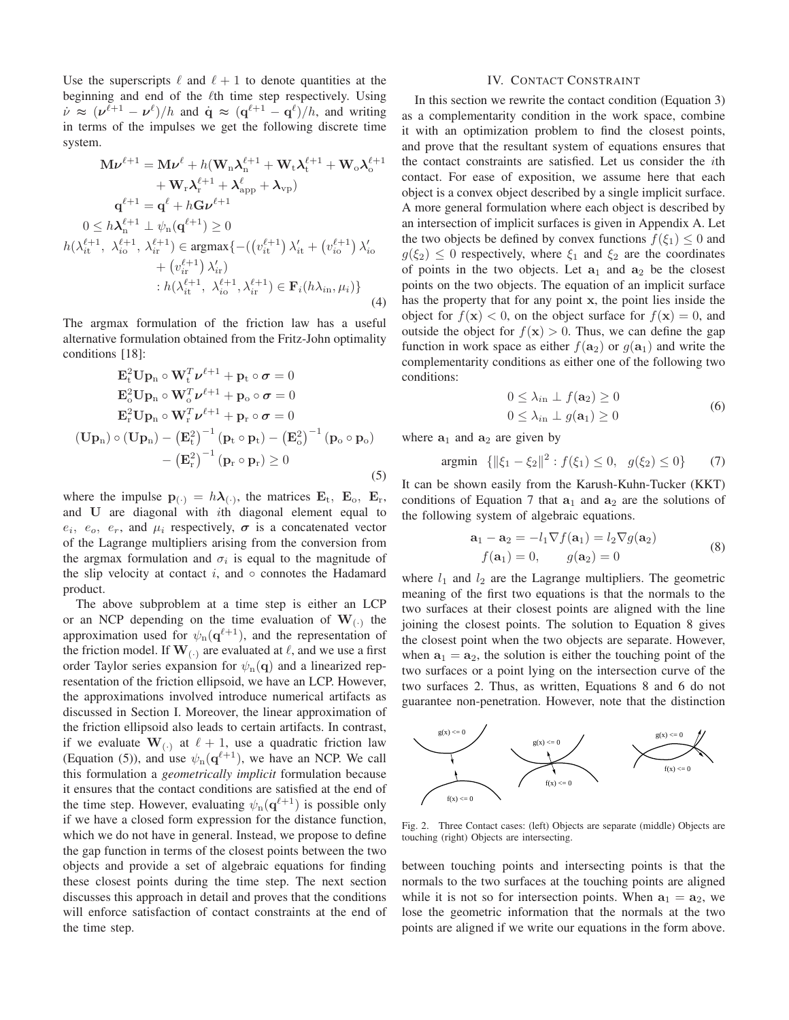Use the superscripts  $\ell$  and  $\ell + 1$  to denote quantities at the beginning and end of the  $\ell$ th time step respectively. Using  $\nu \approx (\nu^{\ell+1} - \nu^{\ell})/h$  and  $\dot{q} \approx (q^{\ell+1} - q^{\ell})/h$ , and writing in terms of the impulses we get the following discrete time system.

$$
\mathbf{M}\boldsymbol{\nu}^{\ell+1} = \mathbf{M}\boldsymbol{\nu}^{\ell} + h(\mathbf{W}_{n}\boldsymbol{\lambda}_{n}^{\ell+1} + \mathbf{W}_{t}\boldsymbol{\lambda}_{t}^{\ell+1} + \mathbf{W}_{o}\boldsymbol{\lambda}_{o}^{\ell+1} \n+ \mathbf{W}_{r}\boldsymbol{\lambda}_{r}^{\ell+1} + \boldsymbol{\lambda}_{app}^{\ell} + \boldsymbol{\lambda}_{vp}) \n\mathbf{q}^{\ell+1} = \mathbf{q}^{\ell} + h\mathbf{G}\boldsymbol{\nu}^{\ell+1} \n0 \leq h\boldsymbol{\lambda}_{n}^{\ell+1} \perp \psi_{n}(\mathbf{q}^{\ell+1}) \geq 0 \nh(\boldsymbol{\lambda}_{it}^{\ell+1}, \boldsymbol{\lambda}_{io}^{\ell+1}, \boldsymbol{\lambda}_{ir}^{\ell+1}) \in \operatorname{argmax}\{-(\left(v_{it}^{\ell+1}\right)\boldsymbol{\lambda}_{it}^{\prime} + \left(v_{io}^{\ell+1}\right)\boldsymbol{\lambda}_{io}^{\prime} + \left(v_{ir}^{\ell+1}\right)\boldsymbol{\lambda}_{ir}^{\prime}\} \n+ h(\boldsymbol{\lambda}_{it}^{\ell+1}, \boldsymbol{\lambda}_{io}^{\ell+1}, \boldsymbol{\lambda}_{ir}^{\ell+1}) \in \mathbf{F}_{i}(h\lambda_{in}, \mu_{i}) \}
$$
\n(4)

The argmax formulation of the friction law has a useful alternative formulation obtained from the Fritz-John optimality conditions [18]:

$$
\mathbf{E}_{t}^{2} \mathbf{U} \mathbf{p}_{n} \circ \mathbf{W}_{t}^{T} \nu^{\ell+1} + \mathbf{p}_{t} \circ \sigma = 0
$$
\n
$$
\mathbf{E}_{0}^{2} \mathbf{U} \mathbf{p}_{n} \circ \mathbf{W}_{0}^{T} \nu^{\ell+1} + \mathbf{p}_{0} \circ \sigma = 0
$$
\n
$$
\mathbf{E}_{r}^{2} \mathbf{U} \mathbf{p}_{n} \circ \mathbf{W}_{r}^{T} \nu^{\ell+1} + \mathbf{p}_{r} \circ \sigma = 0
$$
\n
$$
(\mathbf{U} \mathbf{p}_{n}) \circ (\mathbf{U} \mathbf{p}_{n}) - (\mathbf{E}_{t}^{2})^{-1} (\mathbf{p}_{t} \circ \mathbf{p}_{t}) - (\mathbf{E}_{0}^{2})^{-1} (\mathbf{p}_{0} \circ \mathbf{p}_{0})
$$
\n
$$
- (\mathbf{E}_{r}^{2})^{-1} (\mathbf{p}_{r} \circ \mathbf{p}_{r}) \geq 0
$$
\n(5)

where the impulse  $\mathbf{p}_{(\cdot)} = h\lambda_{(\cdot)}$ , the matrices  $\mathbf{E}_{t}$ ,  $\mathbf{E}_{o}$ ,  $\mathbf{E}_{r}$ , and U are diagonal with ith diagonal element equal to  $e_i$ ,  $e_o$ ,  $e_r$ , and  $\mu_i$  respectively,  $\sigma$  is a concatenated vector of the Lagrange multipliers arising from the conversion from the argmax formulation and  $\sigma_i$  is equal to the magnitude of the slip velocity at contact  $i$ , and  $\circ$  connotes the Hadamard product.

The above subproblem at a time step is either an LCP or an NCP depending on the time evaluation of  $W_{(.)}$  the approximation used for  $\psi_n(q^{\ell+1})$ , and the representation of the friction model. If  $\mathbf{W}_{(.)}$  are evaluated at  $\ell$ , and we use a first order Taylor series expansion for  $\psi_n(q)$  and a linearized representation of the friction ellipsoid, we have an LCP. However, the approximations involved introduce numerical artifacts as discussed in Section I. Moreover, the linear approximation of the friction ellipsoid also leads to certain artifacts. In contrast, if we evaluate  $\mathbf{W}_{(.)}$  at  $\ell + 1$ , use a quadratic friction law (Equation (5)), and use  $\psi_n(\mathbf{q}^{\ell+1})$ , we have an NCP. We call this formulation a *geometrically implicit* formulation because it ensures that the contact conditions are satisfied at the end of the time step. However, evaluating  $\psi_n(\mathbf{q}^{\ell+1})$  is possible only if we have a closed form expression for the distance function, which we do not have in general. Instead, we propose to define the gap function in terms of the closest points between the two objects and provide a set of algebraic equations for finding these closest points during the time step. The next section discusses this approach in detail and proves that the conditions will enforce satisfaction of contact constraints at the end of the time step.

#### IV. CONTACT CONSTRAINT

In this section we rewrite the contact condition (Equation 3) as a complementarity condition in the work space, combine it with an optimization problem to find the closest points, and prove that the resultant system of equations ensures that the contact constraints are satisfied. Let us consider the ith contact. For ease of exposition, we assume here that each object is a convex object described by a single implicit surface. A more general formulation where each object is described by an intersection of implicit surfaces is given in Appendix A. Let the two objects be defined by convex functions  $f(\xi_1) \leq 0$  and  $g(\xi_2) \leq 0$  respectively, where  $\xi_1$  and  $\xi_2$  are the coordinates of points in the two objects. Let  $a_1$  and  $a_2$  be the closest points on the two objects. The equation of an implicit surface has the property that for any point x, the point lies inside the object for  $f(\mathbf{x}) < 0$ , on the object surface for  $f(\mathbf{x}) = 0$ , and outside the object for  $f(\mathbf{x}) > 0$ . Thus, we can define the gap function in work space as either  $f(\mathbf{a}_2)$  or  $g(\mathbf{a}_1)$  and write the complementarity conditions as either one of the following two conditions:

$$
0 \leq \lambda_{in} \perp f(\mathbf{a}_2) \geq 0
$$
  
 
$$
0 \leq \lambda_{in} \perp g(\mathbf{a}_1) \geq 0
$$
 (6)

where  $a_1$  and  $a_2$  are given by

$$
\text{argmin} \ \left\{ \|\xi_1 - \xi_2\|^2 : f(\xi_1) \le 0, \ g(\xi_2) \le 0 \right\} \tag{7}
$$

It can be shown easily from the Karush-Kuhn-Tucker (KKT) conditions of Equation 7 that  $a_1$  and  $a_2$  are the solutions of the following system of algebraic equations.

$$
\mathbf{a}_1 - \mathbf{a}_2 = -l_1 \nabla f(\mathbf{a}_1) = l_2 \nabla g(\mathbf{a}_2)
$$
  

$$
f(\mathbf{a}_1) = 0, \qquad g(\mathbf{a}_2) = 0
$$
 (8)

where  $l_1$  and  $l_2$  are the Lagrange multipliers. The geometric meaning of the first two equations is that the normals to the two surfaces at their closest points are aligned with the line joining the closest points. The solution to Equation 8 gives the closest point when the two objects are separate. However, when  $a_1 = a_2$ , the solution is either the touching point of the two surfaces or a point lying on the intersection curve of the two surfaces 2. Thus, as written, Equations 8 and 6 do not guarantee non-penetration. However, note that the distinction



Fig. 2. Three Contact cases: (left) Objects are separate (middle) Objects are touching (right) Objects are intersecting.

between touching points and intersecting points is that the normals to the two surfaces at the touching points are aligned while it is not so for intersection points. When  $a_1 = a_2$ , we lose the geometric information that the normals at the two points are aligned if we write our equations in the form above.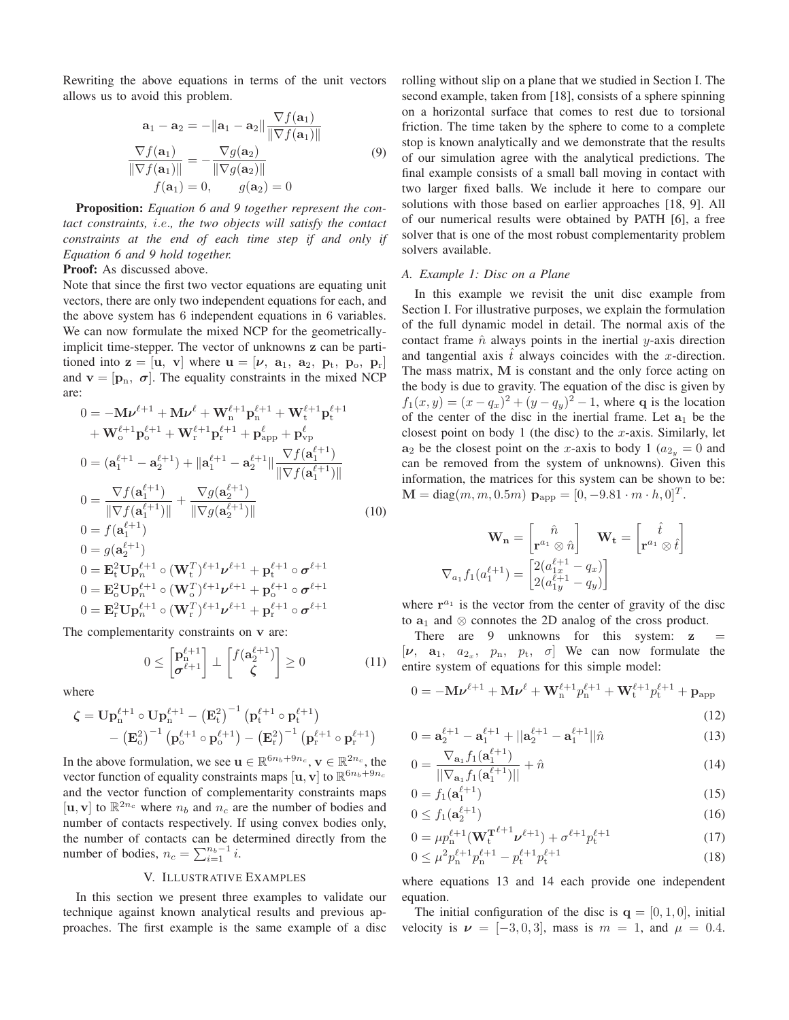Rewriting the above equations in terms of the unit vectors allows us to avoid this problem.

$$
\mathbf{a}_1 - \mathbf{a}_2 = -\|\mathbf{a}_1 - \mathbf{a}_2\| \frac{\nabla f(\mathbf{a}_1)}{\|\nabla f(\mathbf{a}_1)\|}
$$

$$
\frac{\nabla f(\mathbf{a}_1)}{\|\nabla f(\mathbf{a}_1)\|} = -\frac{\nabla g(\mathbf{a}_2)}{\|\nabla g(\mathbf{a}_2)\|}
$$
(9)
$$
f(\mathbf{a}_1) = 0, \qquad g(\mathbf{a}_2) = 0
$$

Proposition: *Equation 6 and 9 together represent the contact constraints,* i.e.*, the two objects will satisfy the contact constraints at the end of each time step if and only if Equation 6 and 9 hold together.*

Proof: As discussed above.

Note that since the first two vector equations are equating unit vectors, there are only two independent equations for each, and the above system has 6 independent equations in 6 variables. We can now formulate the mixed NCP for the geometricallyimplicit time-stepper. The vector of unknowns z can be partitioned into  $z = [u, v]$  where  $u = [\nu, a_1, a_2, p_t, p_o, p_r]$ and  $\mathbf{v} = [\mathbf{p}_n, \, \boldsymbol{\sigma}]$ . The equality constraints in the mixed NCP are:

$$
0 = -\mathbf{M}\nu^{\ell+1} + \mathbf{M}\nu^{\ell} + \mathbf{W}_{n}^{\ell+1}\mathbf{p}_{n}^{\ell+1} + \mathbf{W}_{t}^{\ell+1}\mathbf{p}_{t}^{\ell+1} + \mathbf{W}_{o}^{\ell+1}\mathbf{p}_{o}^{\ell+1} + \mathbf{W}_{r}^{\ell+1}\mathbf{p}_{r}^{\ell+1} + \mathbf{p}_{app}^{\ell} + \mathbf{p}_{vp}^{\ell}0 = (\mathbf{a}_{1}^{\ell+1} - \mathbf{a}_{2}^{\ell+1}) + ||\mathbf{a}_{1}^{\ell+1} - \mathbf{a}_{2}^{\ell+1}|| \frac{\nabla f(\mathbf{a}_{1}^{\ell+1})}{||\nabla f(\mathbf{a}_{1}^{\ell+1})||} 0 = \frac{\nabla f(\mathbf{a}_{1}^{\ell+1})}{||\nabla f(\mathbf{a}_{1}^{\ell+1})||} + \frac{\nabla g(\mathbf{a}_{2}^{\ell+1})}{||\nabla g(\mathbf{a}_{2}^{\ell+1})||} 0 = f(\mathbf{a}_{1}^{\ell+1}) 0 = g(\mathbf{a}_{2}^{\ell+1}) 0 = \mathbf{E}_{t}^{2} \mathbf{U} \mathbf{p}_{n}^{\ell+1} \circ (\mathbf{W}_{t}^{T})^{\ell+1} \nu^{\ell+1} + \mathbf{p}_{t}^{\ell+1} \circ \sigma^{\ell+1} 0 = \mathbf{E}_{o}^{2} \mathbf{U} \mathbf{p}_{n}^{\ell+1} \circ (\mathbf{W}_{o}^{T})^{\ell+1} \nu^{\ell+1} + \mathbf{p}_{o}^{\ell+1} \circ \sigma^{\ell+1} 0 = \mathbf{E}_{r}^{2} \mathbf{U} \mathbf{p}_{n}^{\ell+1} \circ (\mathbf{W}_{r}^{T})^{\ell+1} \nu^{\ell+1} + \mathbf{p}_{r}^{\ell+1} \circ \sigma^{\ell+1}
$$

The complementarity constraints on v are:

$$
0 \le \begin{bmatrix} \mathbf{p}_{n}^{\ell+1} \\ \boldsymbol{\sigma}^{\ell+1} \end{bmatrix} \perp \begin{bmatrix} f(\mathbf{a}_{2}^{\ell+1}) \\ \boldsymbol{\zeta} \end{bmatrix} \ge 0 \tag{11}
$$

where

$$
\begin{aligned} \zeta &= \mathbf{U} \mathbf{p}^{\ell+1}_{n} \circ \mathbf{U} \mathbf{p}^{\ell+1}_{n} - \left(\mathbf{E}^2_t\right)^{-1} \left(\mathbf{p}^{\ell+1}_{t} \circ \mathbf{p}^{\ell+1}_{t}\right) \\ &- \left(\mathbf{E}^2_{o}\right)^{-1} \left(\mathbf{p}^{\ell+1}_{o} \circ \mathbf{p}^{\ell+1}_{o}\right) - \left(\mathbf{E}^2_r\right)^{-1} \left(\mathbf{p}^{\ell+1}_{r} \circ \mathbf{p}^{\ell+1}_{r}\right) \end{aligned}
$$

In the above formulation, we see  $\mathbf{u} \in \mathbb{R}^{6n_b+9n_c}$ ,  $\mathbf{v} \in \mathbb{R}^{2n_c}$ , the vector function of equality constraints maps  $[\mathbf{u}, \mathbf{v}]$  to  $\mathbb{R}^{6n_b+9n_c}$ and the vector function of complementarity constraints maps  $[\mathbf{u}, \mathbf{v}]$  to  $\mathbb{R}^{2n_c}$  where  $n_b$  and  $n_c$  are the number of bodies and number of contacts respectively. If using convex bodies only, the number of contacts can be determined directly from the number of bodies,  $n_c = \sum_{i=1}^{n_b-1} i$ .

# V. ILLUSTRATIVE EXAMPLES

In this section we present three examples to validate our technique against known analytical results and previous approaches. The first example is the same example of a disc rolling without slip on a plane that we studied in Section I. The second example, taken from [18], consists of a sphere spinning on a horizontal surface that comes to rest due to torsional friction. The time taken by the sphere to come to a complete stop is known analytically and we demonstrate that the results of our simulation agree with the analytical predictions. The final example consists of a small ball moving in contact with two larger fixed balls. We include it here to compare our solutions with those based on earlier approaches [18, 9]. All of our numerical results were obtained by PATH [6], a free solver that is one of the most robust complementarity problem solvers available.

# *A. Example 1: Disc on a Plane*

In this example we revisit the unit disc example from Section I. For illustrative purposes, we explain the formulation of the full dynamic model in detail. The normal axis of the contact frame  $\hat{n}$  always points in the inertial y-axis direction and tangential axis  $t$  always coincides with the  $x$ -direction. The mass matrix, M is constant and the only force acting on the body is due to gravity. The equation of the disc is given by  $f_1(x,y) = (x - q_x)^2 + (y - q_y)^2 - 1$ , where q is the location of the center of the disc in the inertial frame. Let  $a_1$  be the closest point on body 1 (the disc) to the  $x$ -axis. Similarly, let  $a_2$  be the closest point on the x-axis to body 1 ( $a_{2y} = 0$  and can be removed from the system of unknowns). Given this information, the matrices for this system can be shown to be:  $\mathbf{M} = \text{diag}(m, m, 0.5m) \; \mathbf{p}_{\text{app}} = [0, -9.81 \cdot m \cdot h, 0]^T.$ 

$$
\mathbf{W}_{\mathbf{n}} = \begin{bmatrix} \hat{n} \\ \mathbf{r}^{a_1} \otimes \hat{n} \end{bmatrix} \quad \mathbf{W}_{\mathbf{t}} = \begin{bmatrix} \hat{t} \\ \mathbf{r}^{a_1} \otimes \hat{t} \end{bmatrix}
$$

$$
\nabla_{a_1} f_1(a_1^{\ell+1}) = \begin{bmatrix} 2(a_{1x}^{\ell+1} - q_x) \\ 2(a_{1y}^{\ell+1} - q_y) \end{bmatrix}
$$

where  $r^{a_1}$  is the vector from the center of gravity of the disc to  $a_1$  and  $\otimes$  connotes the 2D analog of the cross product.

There are  $9$  unknowns for this system:  $z$  $[\nu, \mathbf{a}_1, \alpha_{2_x}, \nu_n, \nu_t, \sigma]$  We can now formulate the entire system of equations for this simple model:

$$
0 = -\mathbf{M}\boldsymbol{\nu}^{\ell+1} + \mathbf{M}\boldsymbol{\nu}^{\ell} + \mathbf{W}_{n}^{\ell+1}p_{n}^{\ell+1} + \mathbf{W}_{t}^{\ell+1}p_{t}^{\ell+1} + \mathbf{p}_{app}
$$
\n(12)

$$
0 = \mathbf{a}_2^{\ell+1} - \mathbf{a}_1^{\ell+1} + ||\mathbf{a}_2^{\ell+1} - \mathbf{a}_1^{\ell+1}||\hat{n}
$$
(13)

$$
0 = \frac{\nabla_{\mathbf{a}_1} f_1(\mathbf{a}_1^{l+1})}{\|\nabla_{\mathbf{a}_1} f_1(\mathbf{a}_1^{l+1})\|} + \hat{n}
$$
\n(14)

$$
0 = f_1(\mathbf{a}_1^{\ell+1}) \tag{15}
$$

$$
0 \le f_1(\mathbf{a}_2^{\ell+1})\tag{16}
$$

$$
0 = \mu p_n^{\ell+1} (\mathbf{W}_t^{\mathbf{T}^{\ell+1}} \nu^{\ell+1}) + \sigma^{\ell+1} p_t^{\ell+1}
$$
 (17)

$$
0 \le \mu^2 p_n^{\ell+1} p_n^{\ell+1} - p_t^{\ell+1} p_t^{\ell+1}
$$
 (18)

where equations 13 and 14 each provide one independent equation.

The initial configuration of the disc is  $q = [0, 1, 0]$ , initial velocity is  $\nu = [-3, 0, 3]$ , mass is  $m = 1$ , and  $\mu = 0.4$ .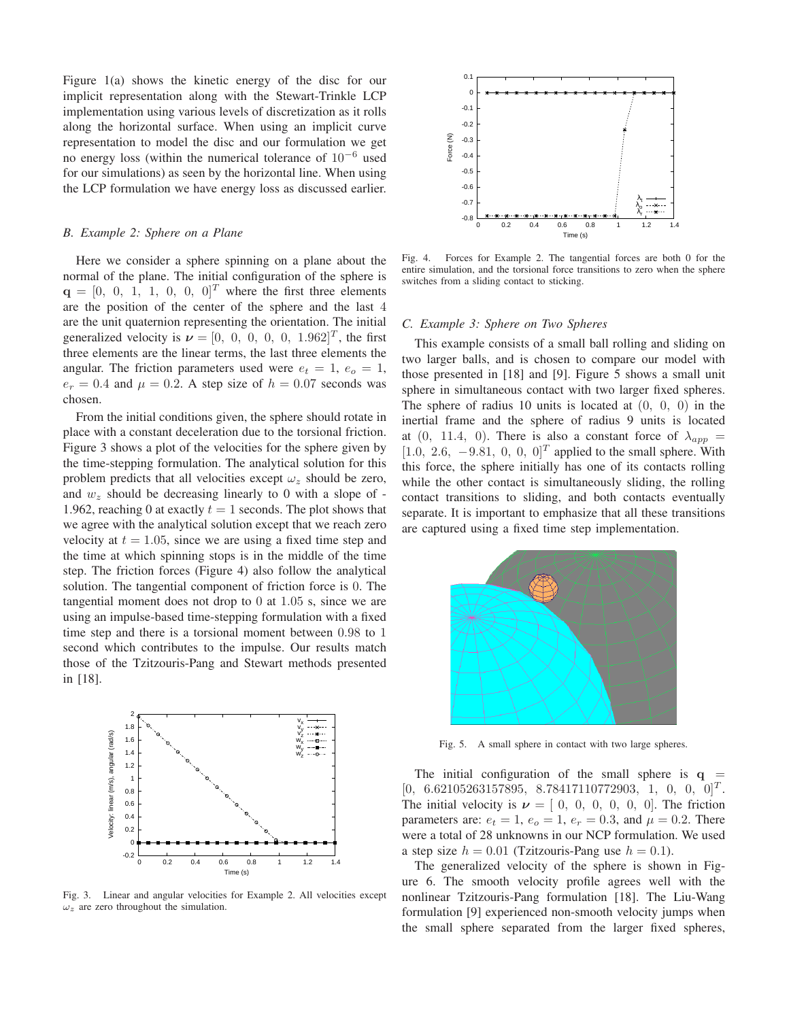Figure 1(a) shows the kinetic energy of the disc for our implicit representation along with the Stewart-Trinkle LCP implementation using various levels of discretization as it rolls along the horizontal surface. When using an implicit curve representation to model the disc and our formulation we get no energy loss (within the numerical tolerance of  $10^{-6}$  used for our simulations) as seen by the horizontal line. When using the LCP formulation we have energy loss as discussed earlier.

#### *B. Example 2: Sphere on a Plane*

Here we consider a sphere spinning on a plane about the normal of the plane. The initial configuration of the sphere is  $\mathbf{q} = \begin{bmatrix} 0, 0, 1, 1, 0, 0, 0 \end{bmatrix}^T$  where the first three elements are the position of the center of the sphere and the last 4 are the unit quaternion representing the orientation. The initial generalized velocity is  $\nu = [0, 0, 0, 0, 0, 1.962]^T$ , the first three elements are the linear terms, the last three elements the angular. The friction parameters used were  $e_t = 1$ ,  $e_o = 1$ ,  $e_r = 0.4$  and  $\mu = 0.2$ . A step size of  $h = 0.07$  seconds was chosen.

From the initial conditions given, the sphere should rotate in place with a constant deceleration due to the torsional friction. Figure 3 shows a plot of the velocities for the sphere given by the time-stepping formulation. The analytical solution for this problem predicts that all velocities except  $\omega_z$  should be zero, and  $w_z$  should be decreasing linearly to 0 with a slope of -1.962, reaching 0 at exactly  $t = 1$  seconds. The plot shows that we agree with the analytical solution except that we reach zero velocity at  $t = 1.05$ , since we are using a fixed time step and the time at which spinning stops is in the middle of the time step. The friction forces (Figure 4) also follow the analytical solution. The tangential component of friction force is 0. The tangential moment does not drop to 0 at 1.05 s, since we are using an impulse-based time-stepping formulation with a fixed time step and there is a torsional moment between 0.98 to 1 second which contributes to the impulse. Our results match those of the Tzitzouris-Pang and Stewart methods presented in [18].



Fig. 3. Linear and angular velocities for Example 2. All velocities except  $\omega_z$  are zero throughout the simulation.



Fig. 4. Forces for Example 2. The tangential forces are both 0 for the entire simulation, and the torsional force transitions to zero when the sphere switches from a sliding contact to sticking.

#### *C. Example 3: Sphere on Two Spheres*

This example consists of a small ball rolling and sliding on two larger balls, and is chosen to compare our model with those presented in [18] and [9]. Figure 5 shows a small unit sphere in simultaneous contact with two larger fixed spheres. The sphere of radius 10 units is located at  $(0, 0, 0)$  in the inertial frame and the sphere of radius 9 units is located at (0, 11.4, 0). There is also a constant force of  $\lambda_{app}$  =  $[1.0, 2.6, -9.81, 0, 0, 0]^T$  applied to the small sphere. With this force, the sphere initially has one of its contacts rolling while the other contact is simultaneously sliding, the rolling contact transitions to sliding, and both contacts eventually separate. It is important to emphasize that all these transitions are captured using a fixed time step implementation.



Fig. 5. A small sphere in contact with two large spheres.

The initial configuration of the small sphere is  $q =$  $[0, 6.62105263157895, 8.78417110772903, 1, 0, 0, 0]^{T}$ . The initial velocity is  $\nu = [0, 0, 0, 0, 0, 0]$ . The friction parameters are:  $e_t = 1$ ,  $e_o = 1$ ,  $e_r = 0.3$ , and  $\mu = 0.2$ . There were a total of 28 unknowns in our NCP formulation. We used a step size  $h = 0.01$  (Tzitzouris-Pang use  $h = 0.1$ ).

The generalized velocity of the sphere is shown in Figure 6. The smooth velocity profile agrees well with the nonlinear Tzitzouris-Pang formulation [18]. The Liu-Wang formulation [9] experienced non-smooth velocity jumps when the small sphere separated from the larger fixed spheres,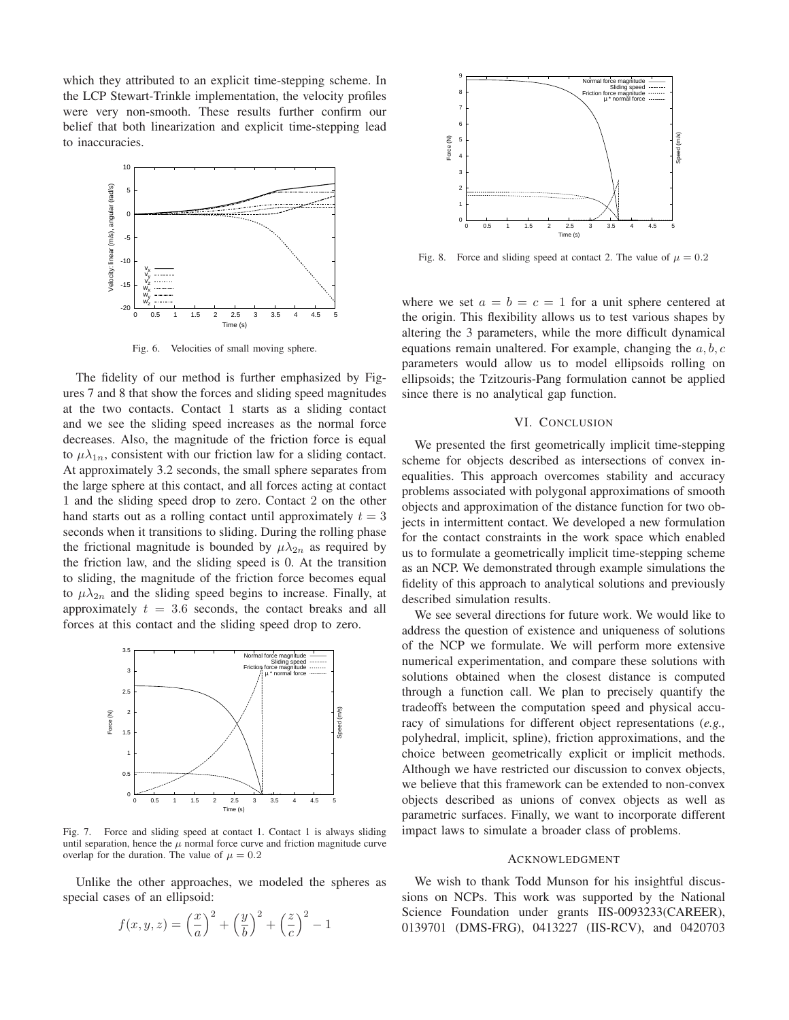which they attributed to an explicit time-stepping scheme. In the LCP Stewart-Trinkle implementation, the velocity profiles were very non-smooth. These results further confirm our belief that both linearization and explicit time-stepping lead to inaccuracies.



Fig. 6. Velocities of small moving sphere.

The fidelity of our method is further emphasized by Figures 7 and 8 that show the forces and sliding speed magnitudes at the two contacts. Contact 1 starts as a sliding contact and we see the sliding speed increases as the normal force decreases. Also, the magnitude of the friction force is equal to  $\mu\lambda_{1n}$ , consistent with our friction law for a sliding contact. At approximately 3.2 seconds, the small sphere separates from the large sphere at this contact, and all forces acting at contact 1 and the sliding speed drop to zero. Contact 2 on the other hand starts out as a rolling contact until approximately  $t = 3$ seconds when it transitions to sliding. During the rolling phase the frictional magnitude is bounded by  $\mu \lambda_{2n}$  as required by the friction law, and the sliding speed is 0. At the transition to sliding, the magnitude of the friction force becomes equal to  $\mu \lambda_{2n}$  and the sliding speed begins to increase. Finally, at approximately  $t = 3.6$  seconds, the contact breaks and all forces at this contact and the sliding speed drop to zero.



Fig. 7. Force and sliding speed at contact 1. Contact 1 is always sliding until separation, hence the  $\mu$  normal force curve and friction magnitude curve overlap for the duration. The value of  $\mu = 0.2$ 

Unlike the other approaches, we modeled the spheres as special cases of an ellipsoid:

$$
f(x, y, z) = \left(\frac{x}{a}\right)^2 + \left(\frac{y}{b}\right)^2 + \left(\frac{z}{c}\right)^2 - 1
$$



Fig. 8. Force and sliding speed at contact 2. The value of  $\mu = 0.2$ 

where we set  $a = b = c = 1$  for a unit sphere centered at the origin. This flexibility allows us to test various shapes by altering the 3 parameters, while the more difficult dynamical equations remain unaltered. For example, changing the  $a, b, c$ parameters would allow us to model ellipsoids rolling on ellipsoids; the Tzitzouris-Pang formulation cannot be applied since there is no analytical gap function.

#### VI. CONCLUSION

We presented the first geometrically implicit time-stepping scheme for objects described as intersections of convex inequalities. This approach overcomes stability and accuracy problems associated with polygonal approximations of smooth objects and approximation of the distance function for two objects in intermittent contact. We developed a new formulation for the contact constraints in the work space which enabled us to formulate a geometrically implicit time-stepping scheme as an NCP. We demonstrated through example simulations the fidelity of this approach to analytical solutions and previously described simulation results.

We see several directions for future work. We would like to address the question of existence and uniqueness of solutions of the NCP we formulate. We will perform more extensive numerical experimentation, and compare these solutions with solutions obtained when the closest distance is computed through a function call. We plan to precisely quantify the tradeoffs between the computation speed and physical accuracy of simulations for different object representations (*e.g.,* polyhedral, implicit, spline), friction approximations, and the choice between geometrically explicit or implicit methods. Although we have restricted our discussion to convex objects, we believe that this framework can be extended to non-convex objects described as unions of convex objects as well as parametric surfaces. Finally, we want to incorporate different impact laws to simulate a broader class of problems.

#### ACKNOWLEDGMENT

We wish to thank Todd Munson for his insightful discussions on NCPs. This work was supported by the National Science Foundation under grants IIS-0093233(CAREER), 0139701 (DMS-FRG), 0413227 (IIS-RCV), and 0420703